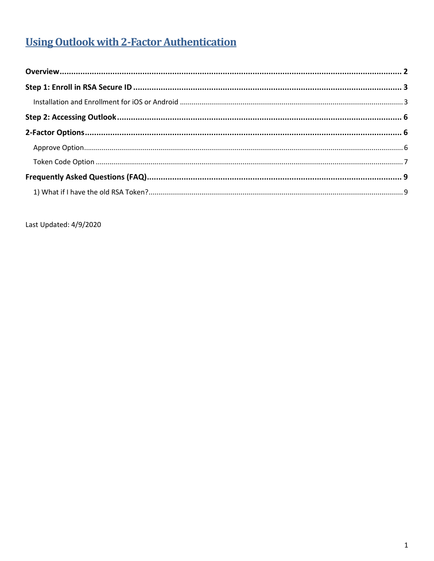# **Using Outlook with 2-Factor Authentication**

Last Updated: 4/9/2020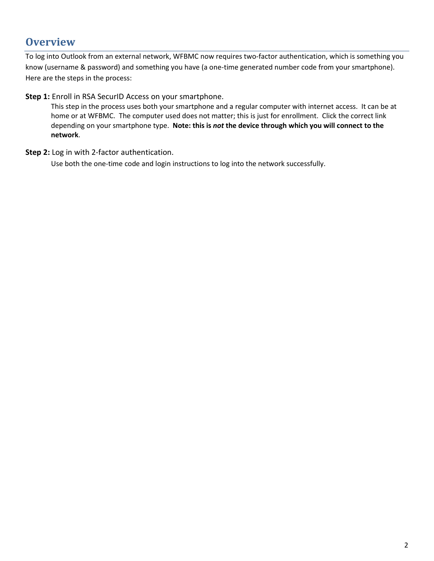### <span id="page-1-0"></span>**Overview**

To log into Outlook from an external network, WFBMC now requires two-factor authentication, which is something you know (username & password) and something you have (a one-time generated number code from your smartphone). Here are the steps in the process:

**Step 1:** Enroll in RSA SecurID Access on your smartphone.

This step in the process uses both your smartphone and a regular computer with internet access. It can be at home or at WFBMC. The computer used does not matter; this is just for enrollment. Click the correct link depending on your smartphone type. **Note: this is** *not* **the device through which you will connect to the network**.

**Step 2:** Log in with 2-factor authentication.

Use both the one-time code and login instructions to log into the network successfully.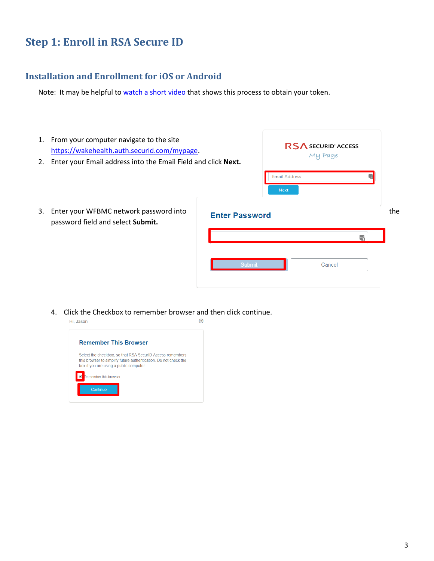### <span id="page-2-1"></span><span id="page-2-0"></span>**Installation and Enrollment for iOS or Android**

Note: It may be helpful to [watch a short video](https://help.access.securid.com/EN_US/Content/Production/ngx_c_managing_devices.htm) that shows this process to obtain your token.

| 1. From your computer navigate to the site<br>https://wakehealth.auth.securid.com/mypage.<br>2. Enter your Email address into the Email Field and click Next. |                       | <b>RS</b> ∧ SECURID' ACCESS<br>My Page |        |    |     |
|---------------------------------------------------------------------------------------------------------------------------------------------------------------|-----------------------|----------------------------------------|--------|----|-----|
|                                                                                                                                                               |                       | <b>Email Address</b><br><b>Next</b>    |        | ۳. |     |
| 3. Enter your WFBMC network password into<br>password field and select Submit.                                                                                | <b>Enter Password</b> |                                        |        |    | the |
|                                                                                                                                                               |                       |                                        |        |    |     |
|                                                                                                                                                               | <b>Submit</b>         |                                        | Cancel |    |     |

4. Click the Checkbox to remember browser and then click continue.

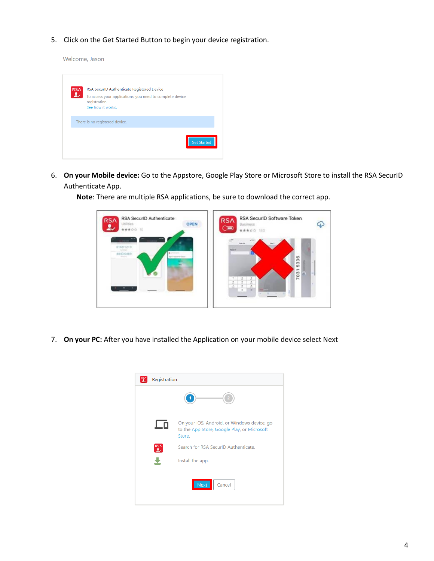5. Click on the Get Started Button to begin your device registration.

Welcome, Jason

| <b>RSA</b> | RSA SecurID Authenticate Registered Device                                |
|------------|---------------------------------------------------------------------------|
| $\sim$     | To access your applications, you need to complete device<br>registration. |
|            | See how it works.                                                         |
|            | There is no registered device.                                            |
|            |                                                                           |
|            | <b>Get Started</b>                                                        |

6. **On your Mobile device:** Go to the Appstore, Google Play Store or Microsoft Store to install the RSA SecurID Authenticate App.

> RSA SecuriD Authenticate RSA SecuriD Software Token **RSA RSA** OPEN  $\varphi$ (SS ₫ ⋐ \*\*\*\*\*\* \*\*\*\*\* 180 11691213 4543 6489

**Note**: There are multiple RSA applications, be sure to download the correct app.

7. **On your PC:** After you have installed the Application on your mobile device select Next

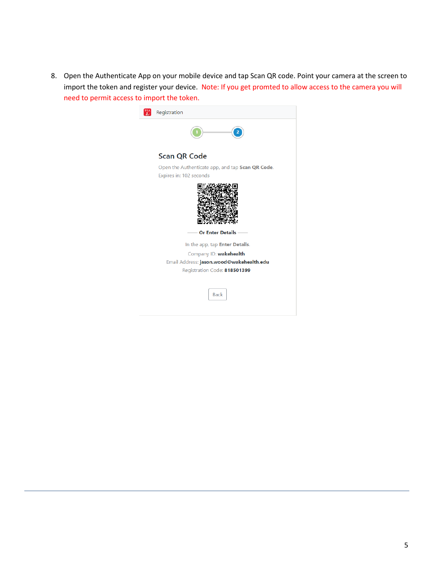8. Open the Authenticate App on your mobile device and tap Scan QR code. Point your camera at the screen to import the token and register your device. Note: If you get promted to allow access to the camera you will need to permit access to import the token.

| Registration                                     |
|--------------------------------------------------|
|                                                  |
| <b>Scan QR Code</b>                              |
| Open the Authenticate app, and tap Scan QR Code. |
| Expires in: 102 seconds                          |
|                                                  |
| <b>Or Enter Details</b>                          |
| In the app, tap Enter Details.                   |
| Company ID: wakehealth                           |
| Email Address: jason.wood@wakehealth.edu         |
| Registration Code: 818501399                     |
| <b>Back</b>                                      |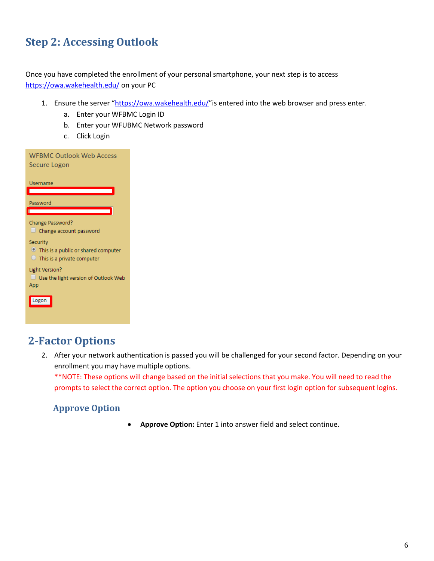## <span id="page-5-0"></span>**Step 2: Accessing Outlook**

Once you have completed the enrollment of your personal smartphone, your next step is to access <https://owa.wakehealth.edu/> on your PC

- 1. Ensure the server "<https://owa.wakehealth.edu/>" is entered into the web browser and press enter.
	- a. Enter your WFBMC Login ID
	- b. Enter your WFUBMC Network password
	- c. Click Login

| <b>WFBMC Outlook Web Access</b><br>Secure Logon                                                |
|------------------------------------------------------------------------------------------------|
| Username                                                                                       |
| Password<br>$\overline{\phantom{0}}$                                                           |
| Change Password?<br>$\Box$ Change account password                                             |
| Security<br>$\bullet$ This is a public or shared computer<br>$\Box$ This is a private computer |
| Light Version?<br>$\Box$ Use the light version of Outlook Web<br>App                           |
| Logon                                                                                          |

### <span id="page-5-1"></span>**2-Factor Options**

2. After your network authentication is passed you will be challenged for your second factor. Depending on your enrollment you may have multiple options.

\*\*NOTE: These options will change based on the initial selections that you make. You will need to read the prompts to select the correct option. The option you choose on your first login option for subsequent logins.

### <span id="page-5-2"></span>**Approve Option**

**Approve Option:** Enter 1 into answer field and select continue.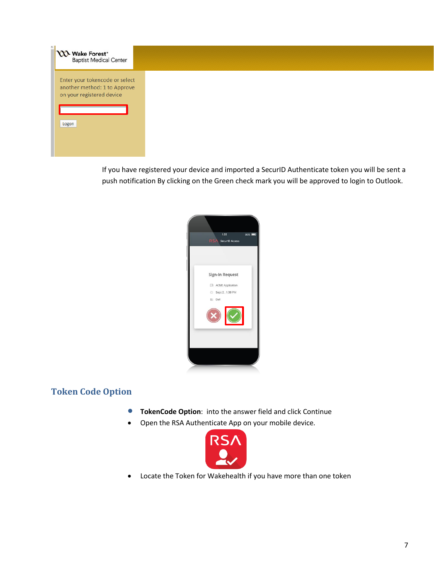| <b>NA Wake Forest</b> <sup>*</sup><br>Baptist Medical Center                                         |  |  |
|------------------------------------------------------------------------------------------------------|--|--|
| Enter your tokencode or select<br>another method: 1 to Approve<br>on your registered device<br>Logon |  |  |
|                                                                                                      |  |  |

If you have registered your device and imported a SecurID Authenticate token you will be sent a push notification By clicking on the Green check mark you will be approved to login to Outlook.



### <span id="page-6-0"></span>**Token Code Option**

- **TokenCode Option**: into the answer field and click Continue
- Open the RSA Authenticate App on your mobile device.



Locate the Token for Wakehealth if you have more than one token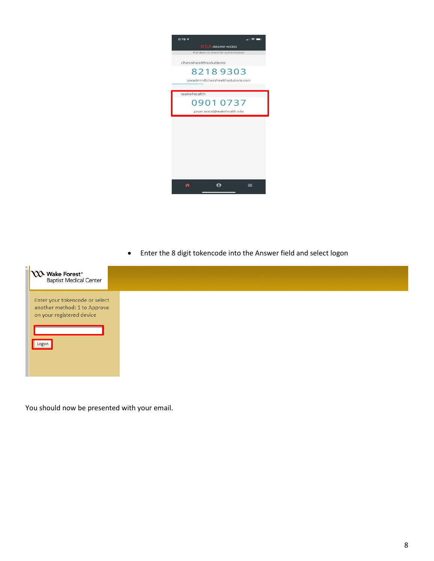

Enter the 8 digit tokencode into the Answer field and select logon



You should now be presented with your email.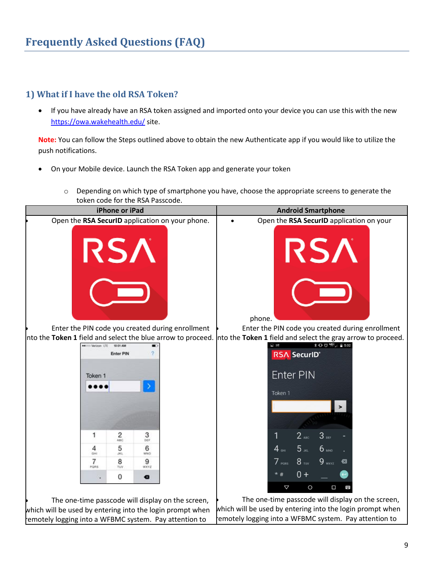### <span id="page-8-1"></span><span id="page-8-0"></span>**1) What if I have the old RSA Token?**

• If you have already have an RSA token assigned and imported onto your device you can use this with the new <https://owa.wakehealth.edu/> site.

**Note:** You can follow the Steps outlined above to obtain the new Authenticate app if you would like to utilize the push notifications.

- On your Mobile device. Launch the RSA Token app and generate your token
	- o Depending on which type of smartphone you have, choose the appropriate screens to generate the token code for the RSA Passcode.



which will be used by entering into the login prompt when remotely logging into a WFBMC system. Pay attention to

which will be used by entering into the login prompt when remotely logging into a WFBMC system. Pay attention to